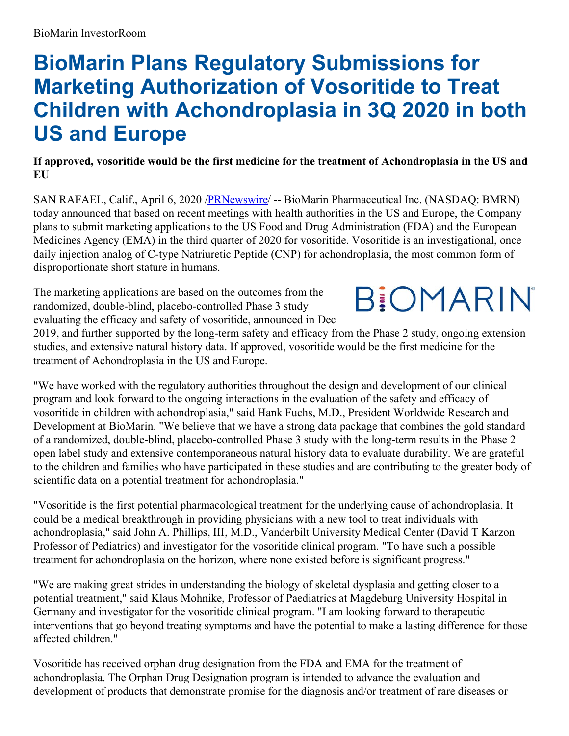# **BioMarin Plans Regulatory Submissions for Marketing Authorization of Vosoritide to Treat Children with Achondroplasia in 3Q 2020 in both US and Europe**

**If approved, vosoritide would be the first medicine for the treatment of Achondroplasia in the US and EU**

SAN RAFAEL, Calif., April 6, 2020 [/PRNewswire](http://www.prnewswire.com/)/ -- BioMarin Pharmaceutical Inc. (NASDAQ: BMRN) today announced that based on recent meetings with health authorities in the US and Europe, the Company plans to submit marketing applications to the US Food and Drug Administration (FDA) and the European Medicines Agency (EMA) in the third quarter of 2020 for vosoritide. Vosoritide is an investigational, once daily injection analog of C-type Natriuretic Peptide (CNP) for achondroplasia, the most common form of disproportionate short stature in humans.

The marketing applications are based on the outcomes from the randomized, double-blind, placebo-controlled Phase 3 study evaluating the efficacy and safety of vosoritide, announced in Dec **BIOMARIN** 

2019, and further supported by the long-term safety and efficacy from the Phase 2 study, ongoing extension studies, and extensive natural history data. If approved, vosoritide would be the first medicine for the treatment of Achondroplasia in the US and Europe.

"We have worked with the regulatory authorities throughout the design and development of our clinical program and look forward to the ongoing interactions in the evaluation of the safety and efficacy of vosoritide in children with achondroplasia," said Hank Fuchs, M.D., President Worldwide Research and Development at BioMarin. "We believe that we have a strong data package that combines the gold standard of a randomized, double-blind, placebo-controlled Phase 3 study with the long-term results in the Phase 2 open label study and extensive contemporaneous natural history data to evaluate durability. We are grateful to the children and families who have participated in these studies and are contributing to the greater body of scientific data on a potential treatment for achondroplasia."

"Vosoritide is the first potential pharmacological treatment for the underlying cause of achondroplasia. It could be a medical breakthrough in providing physicians with a new tool to treat individuals with achondroplasia," said John A. Phillips, III, M.D., Vanderbilt University Medical Center (David T Karzon Professor of Pediatrics) and investigator for the vosoritide clinical program. "To have such a possible treatment for achondroplasia on the horizon, where none existed before is significant progress."

"We are making great strides in understanding the biology of skeletal dysplasia and getting closer to a potential treatment," said Klaus Mohnike, Professor of Paediatrics at Magdeburg University Hospital in Germany and investigator for the vosoritide clinical program. "I am looking forward to therapeutic interventions that go beyond treating symptoms and have the potential to make a lasting difference for those affected children."

Vosoritide has received orphan drug designation from the FDA and EMA for the treatment of achondroplasia. The Orphan Drug Designation program is intended to advance the evaluation and development of products that demonstrate promise for the diagnosis and/or treatment of rare diseases or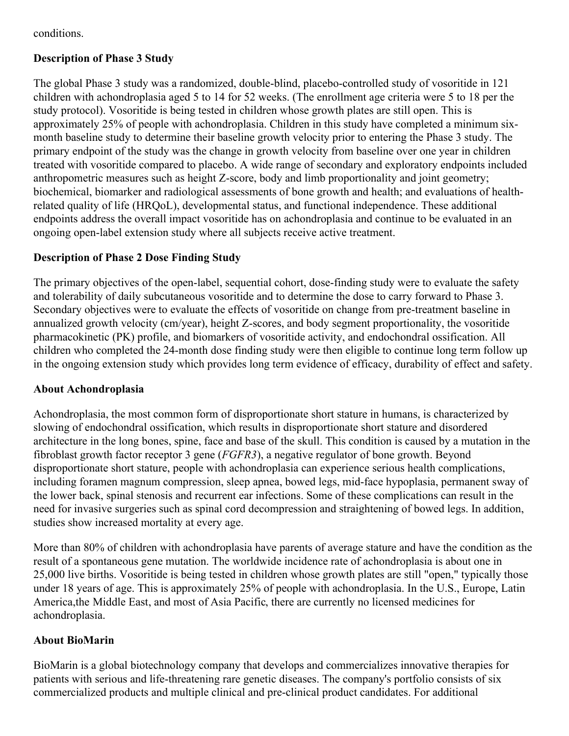conditions.

# **Description of Phase 3 Study**

The global Phase 3 study was a randomized, double-blind, placebo-controlled study of vosoritide in 121 children with achondroplasia aged 5 to 14 for 52 weeks. (The enrollment age criteria were 5 to 18 per the study protocol). Vosoritide is being tested in children whose growth plates are still open. This is approximately 25% of people with achondroplasia. Children in this study have completed a minimum sixmonth baseline study to determine their baseline growth velocity prior to entering the Phase 3 study. The primary endpoint of the study was the change in growth velocity from baseline over one year in children treated with vosoritide compared to placebo. A wide range of secondary and exploratory endpoints included anthropometric measures such as height Z-score, body and limb proportionality and joint geometry; biochemical, biomarker and radiological assessments of bone growth and health; and evaluations of healthrelated quality of life (HRQoL), developmental status, and functional independence. These additional endpoints address the overall impact vosoritide has on achondroplasia and continue to be evaluated in an ongoing open-label extension study where all subjects receive active treatment.

## **Description of Phase 2 Dose Finding Study**

The primary objectives of the open-label, sequential cohort, dose-finding study were to evaluate the safety and tolerability of daily subcutaneous vosoritide and to determine the dose to carry forward to Phase 3. Secondary objectives were to evaluate the effects of vosoritide on change from pre-treatment baseline in annualized growth velocity (cm/year), height Z-scores, and body segment proportionality, the vosoritide pharmacokinetic (PK) profile, and biomarkers of vosoritide activity, and endochondral ossification. All children who completed the 24-month dose finding study were then eligible to continue long term follow up in the ongoing extension study which provides long term evidence of efficacy, durability of effect and safety.

### **About Achondroplasia**

Achondroplasia, the most common form of disproportionate short stature in humans, is characterized by slowing of endochondral ossification, which results in disproportionate short stature and disordered architecture in the long bones, spine, face and base of the skull. This condition is caused by a mutation in the fibroblast growth factor receptor 3 gene (*FGFR3*), a negative regulator of bone growth. Beyond disproportionate short stature, people with achondroplasia can experience serious health complications, including foramen magnum compression, sleep apnea, bowed legs, mid-face hypoplasia, permanent sway of the lower back, spinal stenosis and recurrent ear infections. Some of these complications can result in the need for invasive surgeries such as spinal cord decompression and straightening of bowed legs. In addition, studies show increased mortality at every age.

More than 80% of children with achondroplasia have parents of average stature and have the condition as the result of a spontaneous gene mutation. The worldwide incidence rate of achondroplasia is about one in 25,000 live births. Vosoritide is being tested in children whose growth plates are still "open," typically those under 18 years of age. This is approximately 25% of people with achondroplasia. In the U.S., Europe, Latin America,the Middle East, and most of Asia Pacific, there are currently no licensed medicines for achondroplasia.

# **About BioMarin**

BioMarin is a global biotechnology company that develops and commercializes innovative therapies for patients with serious and life-threatening rare genetic diseases. The company's portfolio consists of six commercialized products and multiple clinical and pre-clinical product candidates. For additional